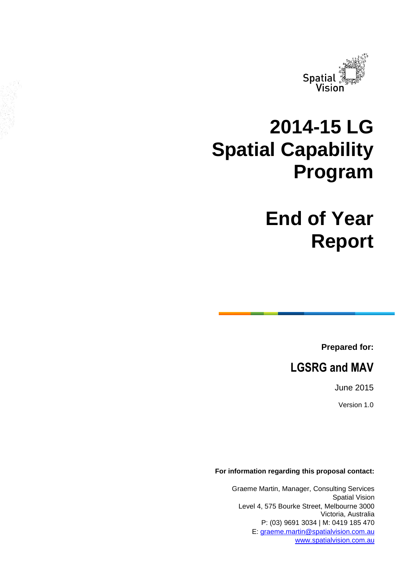

# **2014-15 LG Spatial Capability Program**

# **End of Year Report**

**Prepared for:**

# **LGSRG and MAV**

June 2015

Version 1.0

**For information regarding this proposal contact:**

Graeme Martin, Manager, Consulting Services Spatial Vision Level 4, 575 Bourke Street, Melbourne 3000 Victoria, Australia P: (03) 9691 3034 | M: 0419 185 470 E: [graeme.martin@spatialvision.com.au](mailto:graeme.martin@spatialvision.com.au) [www.spatialvision.com.au](http://www.spatialvision.com.au/)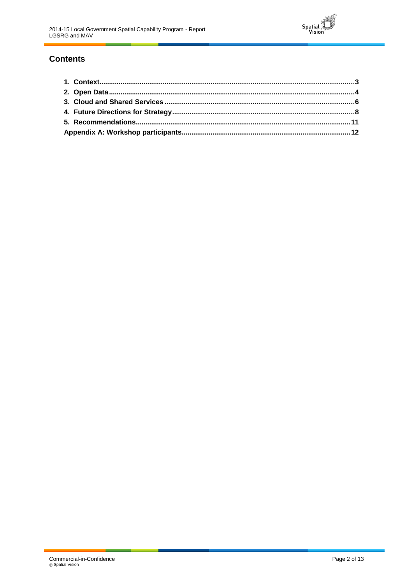

## **Contents**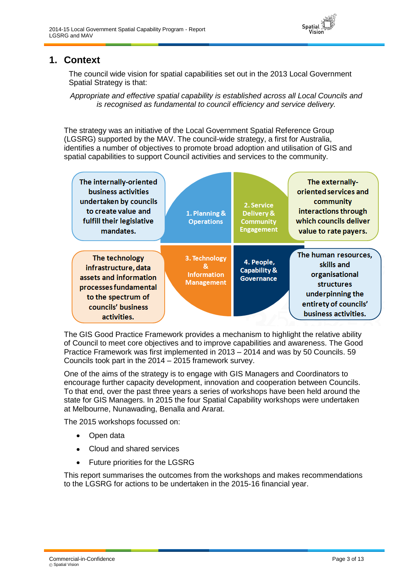

## <span id="page-2-0"></span>**1. Context**

The council wide vision for spatial capabilities set out in the 2013 Local Government Spatial Strategy is that:

*Appropriate and effective spatial capability is established across all Local Councils and is recognised as fundamental to council efficiency and service delivery.*

The strategy was an initiative of the Local Government Spatial Reference Group (LGSRG) supported by the MAV. The council-wide strategy, a first for Australia, identifies a number of objectives to promote broad adoption and utilisation of GIS and spatial capabilities to support Council activities and services to the community.

| The internally-oriented<br>business activities<br>undertaken by councils<br>to create value and<br>fulfill their legislative<br>mandates.            | 1. Planning &<br><b>Operations</b>                            | 2. Service<br>Delivery &<br><b>Community</b><br><b>Engagement</b> | The externally-<br>oriented services and<br>community<br>interactions through<br>which councils deliver<br>value to rate payers.               |
|------------------------------------------------------------------------------------------------------------------------------------------------------|---------------------------------------------------------------|-------------------------------------------------------------------|------------------------------------------------------------------------------------------------------------------------------------------------|
| The technology<br>infrastructure, data<br>assets and information<br>processes fundamental<br>to the spectrum of<br>councils' business<br>activities. | 3. Technology<br>8<br><b>Information</b><br><b>Management</b> | 4. People,<br>Capability &<br><b>Governance</b>                   | The human resources,<br>skills and<br>organisational<br><b>structures</b><br>underpinning the<br>entirety of councils'<br>business activities. |

The GIS Good Practice Framework provides a mechanism to highlight the relative ability of Council to meet core objectives and to improve capabilities and awareness. The Good Practice Framework was first implemented in 2013 – 2014 and was by 50 Councils. 59 Councils took part in the 2014 – 2015 framework survey.

One of the aims of the strategy is to engage with GIS Managers and Coordinators to encourage further capacity development, innovation and cooperation between Councils. To that end, over the past three years a series of workshops have been held around the state for GIS Managers. In 2015 the four Spatial Capability workshops were undertaken at Melbourne, Nunawading, Benalla and Ararat.

The 2015 workshops focussed on:

- Open data
- Cloud and shared services  $\bullet$
- Future priorities for the LGSRG

This report summarises the outcomes from the workshops and makes recommendations to the LGSRG for actions to be undertaken in the 2015-16 financial year.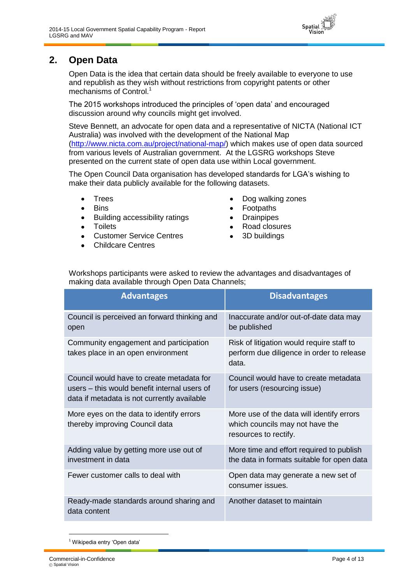

## <span id="page-3-0"></span>**2. Open Data**

Open Data is the idea that certain data should be freely available to everyone to use and republish as they wish without restrictions from copyright patents or other mechanisms of Control.<sup>1</sup>

The 2015 workshops introduced the principles of 'open data' and encouraged discussion around why councils might get involved.

Steve Bennett, an advocate for open data and a representative of NICTA (National ICT Australia) was involved with the development of the National Map [\(http://www.nicta.com.au/project/national-map/\)](http://www.nicta.com.au/project/national-map/) which makes use of open data sourced from various levels of Australian government. At the LGSRG workshops Steve presented on the current state of open data use within Local government.

The Open Council Data organisation has developed standards for LGA's wishing to make their data publicly available for the following datasets.

- Trees
- **Bins**
- Building accessibility ratings  $\bullet$
- **Toilets**  $\bullet$
- Customer Service Centres
- Childcare Centres
- Dog walking zones
- Footpaths  $\bullet$
- **Drainpipes**  $\bullet$
- Road closures
- 3D buildings

Workshops participants were asked to review the advantages and disadvantages of making data available through Open Data Channels;

| <b>Advantages</b>                                                                                                                        | <b>Disadvantages</b>                                                                                  |
|------------------------------------------------------------------------------------------------------------------------------------------|-------------------------------------------------------------------------------------------------------|
| Council is perceived an forward thinking and<br>open                                                                                     | Inaccurate and/or out-of-date data may<br>be published                                                |
| Community engagement and participation<br>takes place in an open environment                                                             | Risk of litigation would require staff to<br>perform due diligence in order to release<br>data.       |
| Council would have to create metadata for<br>users – this would benefit internal users of<br>data if metadata is not currently available | Council would have to create metadata<br>for users (resourcing issue)                                 |
| More eyes on the data to identify errors<br>thereby improving Council data                                                               | More use of the data will identify errors<br>which councils may not have the<br>resources to rectify. |
| Adding value by getting more use out of<br>investment in data                                                                            | More time and effort required to publish<br>the data in formats suitable for open data                |
| Fewer customer calls to deal with                                                                                                        | Open data may generate a new set of<br>consumer issues.                                               |
| Ready-made standards around sharing and<br>data content                                                                                  | Another dataset to maintain                                                                           |

<sup>1</sup> Wikipedia entry 'Open data'

l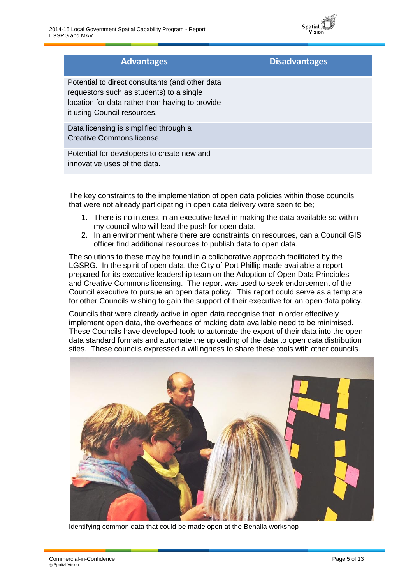

| <b>Advantages</b>                                                                                                                                                             | <b>Disadvantages</b> |
|-------------------------------------------------------------------------------------------------------------------------------------------------------------------------------|----------------------|
| Potential to direct consultants (and other data<br>requestors such as students) to a single<br>location for data rather than having to provide<br>it using Council resources. |                      |
| Data licensing is simplified through a<br>Creative Commons license.                                                                                                           |                      |
| Potential for developers to create new and<br>innovative uses of the data.                                                                                                    |                      |

The key constraints to the implementation of open data policies within those councils that were not already participating in open data delivery were seen to be;

- 1. There is no interest in an executive level in making the data available so within my council who will lead the push for open data.
- 2. In an environment where there are constraints on resources, can a Council GIS officer find additional resources to publish data to open data.

The solutions to these may be found in a collaborative approach facilitated by the LGSRG. In the spirit of open data, the City of Port Phillip made available a report prepared for its executive leadership team on the Adoption of Open Data Principles and Creative Commons licensing. The report was used to seek endorsement of the Council executive to pursue an open data policy. This report could serve as a template for other Councils wishing to gain the support of their executive for an open data policy.

Councils that were already active in open data recognise that in order effectively implement open data, the overheads of making data available need to be minimised. These Councils have developed tools to automate the export of their data into the open data standard formats and automate the uploading of the data to open data distribution sites. These councils expressed a willingness to share these tools with other councils.



Identifying common data that could be made open at the Benalla workshop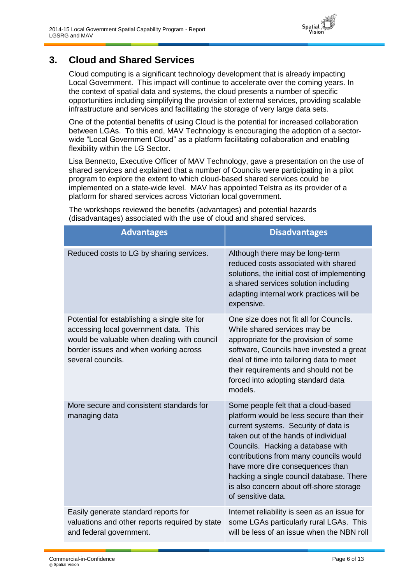

## <span id="page-5-0"></span>**3. Cloud and Shared Services**

Cloud computing is a significant technology development that is already impacting Local Government. This impact will continue to accelerate over the coming years. In the context of spatial data and systems, the cloud presents a number of specific opportunities including simplifying the provision of external services, providing scalable infrastructure and services and facilitating the storage of very large data sets.

One of the potential benefits of using Cloud is the potential for increased collaboration between LGAs. To this end, MAV Technology is encouraging the adoption of a sectorwide "Local Government Cloud" as a platform facilitating collaboration and enabling flexibility within the LG Sector.

Lisa Bennetto, Executive Officer of MAV Technology, gave a presentation on the use of shared services and explained that a number of Councils were participating in a pilot program to explore the extent to which cloud-based shared services could be implemented on a state-wide level. MAV has appointed Telstra as its provider of a platform for shared services across Victorian local government.

The workshops reviewed the benefits (advantages) and potential hazards (disadvantages) associated with the use of cloud and shared services.

| <b>Advantages</b>                                                                                                                                                                                  | <b>Disadvantages</b>                                                                                                                                                                                                                                                                                                                                                                            |
|----------------------------------------------------------------------------------------------------------------------------------------------------------------------------------------------------|-------------------------------------------------------------------------------------------------------------------------------------------------------------------------------------------------------------------------------------------------------------------------------------------------------------------------------------------------------------------------------------------------|
| Reduced costs to LG by sharing services.                                                                                                                                                           | Although there may be long-term<br>reduced costs associated with shared<br>solutions, the initial cost of implementing<br>a shared services solution including<br>adapting internal work practices will be<br>expensive.                                                                                                                                                                        |
| Potential for establishing a single site for<br>accessing local government data. This<br>would be valuable when dealing with council<br>border issues and when working across<br>several councils. | One size does not fit all for Councils.<br>While shared services may be<br>appropriate for the provision of some<br>software, Councils have invested a great<br>deal of time into tailoring data to meet<br>their requirements and should not be<br>forced into adopting standard data<br>models.                                                                                               |
| More secure and consistent standards for<br>managing data                                                                                                                                          | Some people felt that a cloud-based<br>platform would be less secure than their<br>current systems. Security of data is<br>taken out of the hands of individual<br>Councils. Hacking a database with<br>contributions from many councils would<br>have more dire consequences than<br>hacking a single council database. There<br>is also concern about off-shore storage<br>of sensitive data. |
| Easily generate standard reports for<br>valuations and other reports required by state<br>and federal government.                                                                                  | Internet reliability is seen as an issue for<br>some LGAs particularly rural LGAs. This<br>will be less of an issue when the NBN roll                                                                                                                                                                                                                                                           |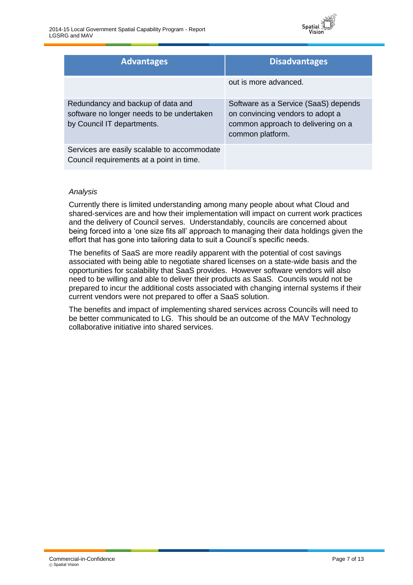

| <b>Advantages</b>                                                                                            | <b>Disadvantages</b>                                                                                                               |
|--------------------------------------------------------------------------------------------------------------|------------------------------------------------------------------------------------------------------------------------------------|
|                                                                                                              | out is more advanced.                                                                                                              |
| Redundancy and backup of data and<br>software no longer needs to be undertaken<br>by Council IT departments. | Software as a Service (SaaS) depends<br>on convincing vendors to adopt a<br>common approach to delivering on a<br>common platform. |
| Services are easily scalable to accommodate<br>Council requirements at a point in time.                      |                                                                                                                                    |

#### *Analysis*

Currently there is limited understanding among many people about what Cloud and shared-services are and how their implementation will impact on current work practices and the delivery of Council serves. Understandably, councils are concerned about being forced into a 'one size fits all' approach to managing their data holdings given the effort that has gone into tailoring data to suit a Council's specific needs.

The benefits of SaaS are more readily apparent with the potential of cost savings associated with being able to negotiate shared licenses on a state-wide basis and the opportunities for scalability that SaaS provides. However software vendors will also need to be willing and able to deliver their products as SaaS. Councils would not be prepared to incur the additional costs associated with changing internal systems if their current vendors were not prepared to offer a SaaS solution.

The benefits and impact of implementing shared services across Councils will need to be better communicated to LG. This should be an outcome of the MAV Technology collaborative initiative into shared services.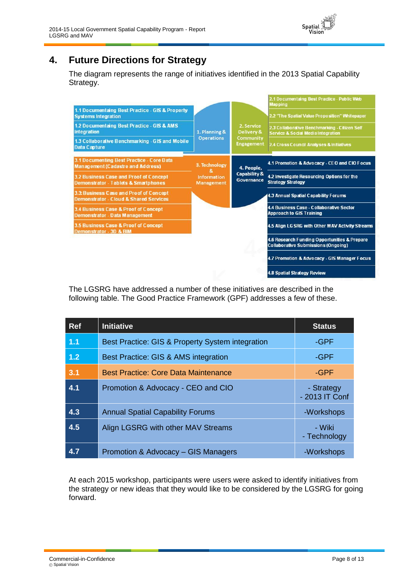## <span id="page-7-0"></span>**4. Future Directions for Strategy**

The diagram represents the range of initiatives identified in the 2013 Spatial Capability Strategy.

Spatial



The LGSRG have addressed a number of these initiatives are described in the following table. The Good Practice Framework (GPF) addresses a few of these.

| <b>Ref</b> | <b>Initiative</b>                                | <b>Status</b>                |
|------------|--------------------------------------------------|------------------------------|
| 1.1        | Best Practice: GIS & Property System integration | -GPF                         |
| 1.2        | Best Practice: GIS & AMS integration             | -GPF                         |
| 3.1        | <b>Best Practice: Core Data Maintenance</b>      | -GPF                         |
| 4.1        | Promotion & Advocacy - CEO and CIO               | - Strategy<br>- 2013 IT Conf |
| 4.3        | <b>Annual Spatial Capability Forums</b>          | -Workshops                   |
| 4.5        | Align LGSRG with other MAV Streams               | - Wiki<br>- Technology       |
| 4.7        | Promotion & Advocacy - GIS Managers              | -Workshops                   |

At each 2015 workshop, participants were users were asked to identify initiatives from the strategy or new ideas that they would like to be considered by the LGSRG for going forward.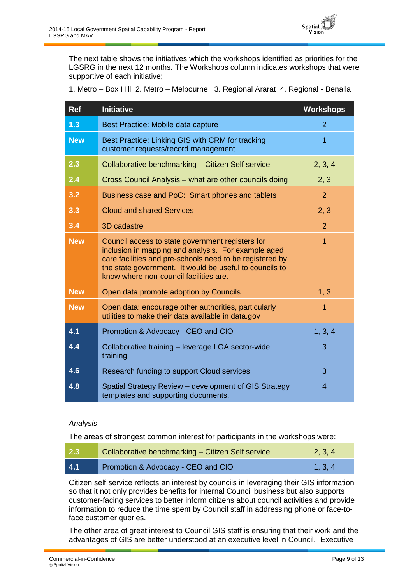The next table shows the initiatives which the workshops identified as priorities for the LGSRG in the next 12 months. The Workshops column indicates workshops that were supportive of each initiative;

1. Metro – Box Hill 2. Metro – Melbourne 3. Regional Ararat 4. Regional - Benalla

| <b>Ref</b> | <b>Initiative</b>                                                                                                                                                                                                                                                        | <b>Workshops</b> |
|------------|--------------------------------------------------------------------------------------------------------------------------------------------------------------------------------------------------------------------------------------------------------------------------|------------------|
| 1.3        | Best Practice: Mobile data capture                                                                                                                                                                                                                                       | $\overline{2}$   |
| <b>New</b> | Best Practice: Linking GIS with CRM for tracking<br>customer requests/record management                                                                                                                                                                                  | $\overline{1}$   |
| 2.3        | Collaborative benchmarking - Citizen Self service                                                                                                                                                                                                                        | 2, 3, 4          |
| 2.4        | Cross Council Analysis - what are other councils doing                                                                                                                                                                                                                   | 2, 3             |
| 3.2        | Business case and PoC: Smart phones and tablets                                                                                                                                                                                                                          | $\overline{2}$   |
| 3.3        | <b>Cloud and shared Services</b>                                                                                                                                                                                                                                         | 2, 3             |
| 3.4        | 3D cadastre                                                                                                                                                                                                                                                              | $\overline{2}$   |
| <b>New</b> | Council access to state government registers for<br>inclusion in mapping and analysis. For example aged<br>care facilities and pre-schools need to be registered by<br>the state government. It would be useful to councils to<br>know where non-council facilities are. | $\overline{1}$   |
| <b>New</b> | Open data promote adoption by Councils                                                                                                                                                                                                                                   | 1, 3             |
| <b>New</b> | Open data: encourage other authorities, particularly<br>utilities to make their data available in data.gov                                                                                                                                                               | 1                |
| 4.1        | Promotion & Advocacy - CEO and CIO                                                                                                                                                                                                                                       | 1, 3, 4          |
| 4.4        | Collaborative training - leverage LGA sector-wide<br>training                                                                                                                                                                                                            | 3                |
| 4.6        | Research funding to support Cloud services                                                                                                                                                                                                                               | 3                |
| 4.8        | Spatial Strategy Review - development of GIS Strategy<br>templates and supporting documents.                                                                                                                                                                             | $\overline{4}$   |

#### *Analysis*

The areas of strongest common interest for participants in the workshops were:

| 2.3 | Collaborative benchmarking - Citizen Self service | 2, 3, 4             |
|-----|---------------------------------------------------|---------------------|
| 4.1 | Promotion & Advocacy - CEO and CIO                | $\setminus$ 1, 3, 4 |

Citizen self service reflects an interest by councils in leveraging their GIS information so that it not only provides benefits for internal Council business but also supports customer-facing services to better inform citizens about council activities and provide information to reduce the time spent by Council staff in addressing phone or face-toface customer queries.

The other area of great interest to Council GIS staff is ensuring that their work and the advantages of GIS are better understood at an executive level in Council. Executive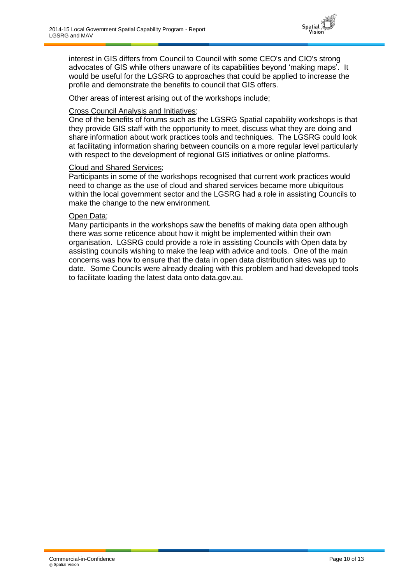

interest in GIS differs from Council to Council with some CEO's and CIO's strong advocates of GIS while others unaware of its capabilities beyond 'making maps'. It would be useful for the LGSRG to approaches that could be applied to increase the profile and demonstrate the benefits to council that GIS offers.

Other areas of interest arising out of the workshops include;

#### Cross Council Analysis and Initiatives;

One of the benefits of forums such as the LGSRG Spatial capability workshops is that they provide GIS staff with the opportunity to meet, discuss what they are doing and share information about work practices tools and techniques. The LGSRG could look at facilitating information sharing between councils on a more regular level particularly with respect to the development of regional GIS initiatives or online platforms.

#### Cloud and Shared Services;

Participants in some of the workshops recognised that current work practices would need to change as the use of cloud and shared services became more ubiquitous within the local government sector and the LGSRG had a role in assisting Councils to make the change to the new environment.

#### Open Data;

Many participants in the workshops saw the benefits of making data open although there was some reticence about how it might be implemented within their own organisation. LGSRG could provide a role in assisting Councils with Open data by assisting councils wishing to make the leap with advice and tools. One of the main concerns was how to ensure that the data in open data distribution sites was up to date. Some Councils were already dealing with this problem and had developed tools to facilitate loading the latest data onto data.gov.au.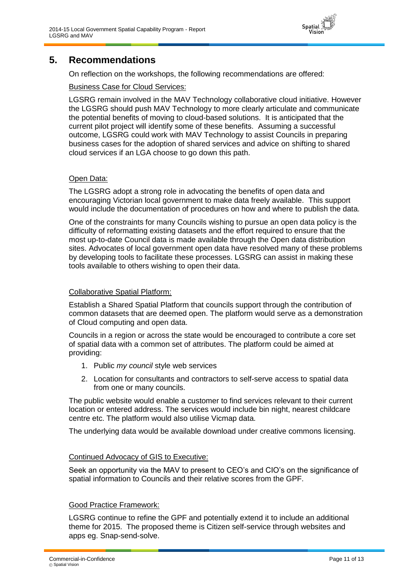

### <span id="page-10-0"></span>**5. Recommendations**

On reflection on the workshops, the following recommendations are offered:

#### Business Case for Cloud Services:

LGSRG remain involved in the MAV Technology collaborative cloud initiative. However the LGSRG should push MAV Technology to more clearly articulate and communicate the potential benefits of moving to cloud-based solutions. It is anticipated that the current pilot project will identify some of these benefits. Assuming a successful outcome, LGSRG could work with MAV Technology to assist Councils in preparing business cases for the adoption of shared services and advice on shifting to shared cloud services if an LGA choose to go down this path.

#### Open Data:

The LGSRG adopt a strong role in advocating the benefits of open data and encouraging Victorian local government to make data freely available. This support would include the documentation of procedures on how and where to publish the data.

One of the constraints for many Councils wishing to pursue an open data policy is the difficulty of reformatting existing datasets and the effort required to ensure that the most up-to-date Council data is made available through the Open data distribution sites. Advocates of local government open data have resolved many of these problems by developing tools to facilitate these processes. LGSRG can assist in making these tools available to others wishing to open their data.

#### Collaborative Spatial Platform:

Establish a Shared Spatial Platform that councils support through the contribution of common datasets that are deemed open. The platform would serve as a demonstration of Cloud computing and open data.

Councils in a region or across the state would be encouraged to contribute a core set of spatial data with a common set of attributes. The platform could be aimed at providing:

- 1. Public *my council* style web services
- 2. Location for consultants and contractors to self-serve access to spatial data from one or many councils.

The public website would enable a customer to find services relevant to their current location or entered address. The services would include bin night, nearest childcare centre etc. The platform would also utilise Vicmap data.

The underlying data would be available download under creative commons licensing.

#### Continued Advocacy of GIS to Executive:

Seek an opportunity via the MAV to present to CEO's and CIO's on the significance of spatial information to Councils and their relative scores from the GPF.

#### Good Practice Framework:

LGSRG continue to refine the GPF and potentially extend it to include an additional theme for 2015. The proposed theme is Citizen self-service through websites and apps eg. Snap-send-solve.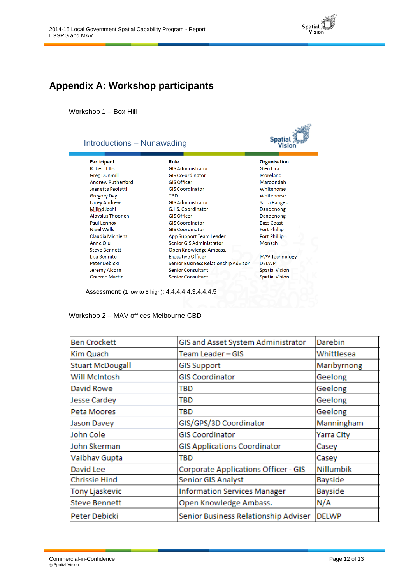

## <span id="page-11-0"></span>**Appendix A: Workshop participants**

Workshop 1 – Box Hill

| Introductions - Nunawading |                                      | <b>Spatial</b><br>Visior |
|----------------------------|--------------------------------------|--------------------------|
| Participant                | Role                                 | <b>Organisation</b>      |
| <b>Robert Ellis</b>        | <b>GIS Administrator</b>             | Glen Eira                |
| <b>Greg Dunmill</b>        | GIS Co-ordinator                     | Moreland                 |
| <b>Andrew Rutherford</b>   | <b>GIS Officer</b>                   | Maroondah                |
| <b>Jeanette Paoletti</b>   | <b>GIS Coordinator</b>               | Whitehorse               |
| <b>Gregory Day</b>         | <b>TBD</b>                           | Whitehorse               |
| Lacey Andrew               | <b>GIS Administrator</b>             | <b>Yarra Ranges</b>      |
| Milind Joshi               | G.L.S. Coordinator                   | Dandenong                |
| Aloysius Thoonen           | <b>GIS Officer</b>                   | Dandenong                |
| Paul Lennox                | <b>GIS Coordinator</b>               | <b>Bass Coast</b>        |
| Nigel Wells                | <b>GIS Coordinator</b>               | Port Phillip             |
| Claudia Michienzi          | App Support Team Leader              | Port Phillip             |
| Anne Qiu                   | Senior GIS Administrator             | Monash                   |
| <b>Steve Bennett</b>       | Open Knowledge Ambass.               |                          |
| Lisa Bennito               | <b>Executive Officer</b>             | <b>MAV Technology</b>    |
| Peter Debicki              | Senior Business Relationship Advisor | <b>DFIWP</b>             |
| Jeremy Alcorn              | Senior Consultant                    | <b>Spatial Vision</b>    |
| <b>Graeme Martin</b>       | <b>Senior Consultant</b>             | <b>Spatial Vision</b>    |

Assessment: (1 low to 5 high): 4,4,4,4,4,3,4,4,4,5

#### Workshop 2 – MAV offices Melbourne CBD

| <b>Ben Crockett</b>     | GIS and Asset System Administrator   | Darebin      |
|-------------------------|--------------------------------------|--------------|
| Kim Quach               | Team Leader - GIS                    | Whittlesea   |
| <b>Stuart McDougall</b> | <b>GIS Support</b>                   | Maribyrnong  |
| Will McIntosh           | <b>GIS Coordinator</b>               | Geelong      |
| David Rowe              | TBD                                  | Geelong      |
| <b>Jesse Cardey</b>     | TBD                                  | Geelong      |
| Peta Moores             | TBD                                  | Geelong      |
| Jason Davey             | GIS/GPS/3D Coordinator               | Manningham   |
| John Cole               | <b>GIS Coordinator</b>               | Yarra City   |
| John Skerman            | <b>GIS Applications Coordinator</b>  | Casey        |
| Vaibhav Gupta           | TBD                                  | Casey        |
| David Lee               | Corporate Applications Officer - GIS | Nillumbik    |
| <b>Chrissie Hind</b>    | <b>Senior GIS Analyst</b>            | Bayside      |
| Tony Ljaskevic          | <b>Information Services Manager</b>  | Bayside      |
| <b>Steve Bennett</b>    | Open Knowledge Ambass.               | N/A          |
| Peter Debicki           | Senior Business Relationship Adviser | <b>DELWP</b> |